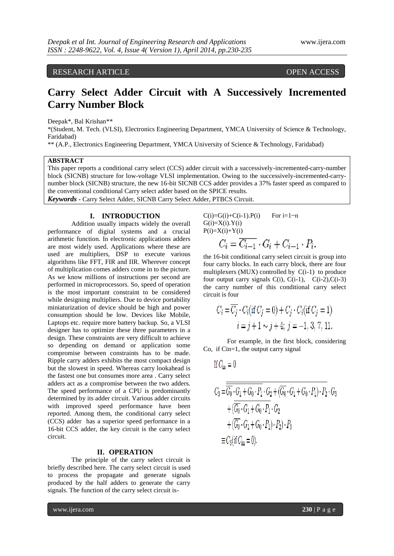# RESEARCH ARTICLE OPEN ACCESS

# **Carry Select Adder Circuit with A Successively Incremented Carry Number Block**

Deepak\*, Bal Krishan\*\*

\*(Student, M. Tech. (VLSI), Electronics Engineering Department, YMCA University of Science & Technology, Faridabad)

\*\* (A.P., Electronics Engineering Department, YMCA University of Science & Technology, Faridabad)

#### **ABSTRACT**

This paper reports a conditional carry select (CCS) adder circuit with a successively-incremented-carry-number block (SICNB) structure for low-voltage VLSI implementation. Owing to the successively-incremented-carrynumber block (SICNB) structure, the new 16-bit SICNB CCS adder provides a 37% faster speed as compared to the conventional conditional Carry select adder based on the SPICE results.

*Keywords* **-** Carry Select Adder, SICNB Carry Select Adder, PTBCS Circuit.

### **I. INTRODUCTION**

Addition usually impacts widely the overall performance of digital systems and a crucial arithmetic function. In electronic applications adders are most widely used. Applications where these are used are multipliers, DSP to execute various algorithms like FFT, FIR and IIR. Wherever concept of multiplication comes adders come in to the picture. As we know millions of instructions per second are performed in microprocessors. So, speed of operation is the most important constraint to be considered while designing multipliers. Due to device portability miniaturization of device should be high and power consumption should be low. Devices like Mobile, Laptops etc. require more battery backup. So, a VLSI designer has to optimize these three parameters in a design. These constraints are very difficult to achieve so depending on demand or application some compromise between constraints has to be made. Ripple carry adders exhibits the most compact design but the slowest in speed. Whereas carry lookahead is the fastest one but consumes more area . Carry select adders act as a compromise between the two adders. The speed performance of a CPU is predominantly determined by its adder circuit. Various adder circuits with improved speed performance have been reported. Among them, the conditional carry select (CCS) adder has a superior speed performance in a 16-bit CCS adder, the key circuit is the carry select circuit.

## **II. OPERATION**

The principle of the carry select circuit is briefly described here. The carry select circuit is used to process the propagate and generate signals produced by the half adders to generate the carry signals. The function of the carry select circuit is $C(i)=G(i)+C(i-1).P(i)$  For  $i=1~n$  $G(i)=X(i)$ . $Y(i)$  $P(i)=X(i)+Y(i)$ 

$$
C_i = \overline{C_{i-1}} \cdot G_i + C_{i-1} \cdot P_i.
$$

the 16-bit conditional carry select circuit is group into four carry blocks. In each carry block, there are four multiplexers (MUX) controlled by  $C(i-1)$  to produce four output carry signals  $C(i)$ ,  $C(i-1)$ ,  $C(i-2)$ ,  $C(i-3)$ the carry number of this conditional carry select circuit is four

$$
C_i = \overline{C_j} \cdot C_i(\text{if } C_j = 0) + C_j \cdot C_i(\text{if } C_j = 1)
$$
  

$$
i = j + 1 \sim j + 4; \ j = -1, 3, 7, 11.
$$

For example, in the first block, considering Co, if Cin=1, the output carry signal

If 
$$
C_{\text{in}} = 0
$$

$$
C_3 = \overline{\overline{G_0} \cdot G_1 + G_0 \cdot P_1} \cdot G_2 + (\overline{G_0} \cdot G_1 + G_0 \cdot P_1) \cdot P_2 \cdot G_3
$$
  
+ 
$$
(\overline{\overline{G_0} \cdot G_1 + G_0 \cdot P_1} \cdot G_2
$$
  
+ 
$$
(\overline{G_0} \cdot G_1 + G_0 \cdot P_1) \cdot P_2) \cdot P_3
$$
  

$$
\equiv C_3(\text{if } C_{\text{in}} = 0).
$$

www.ijera.com **230** | P a g e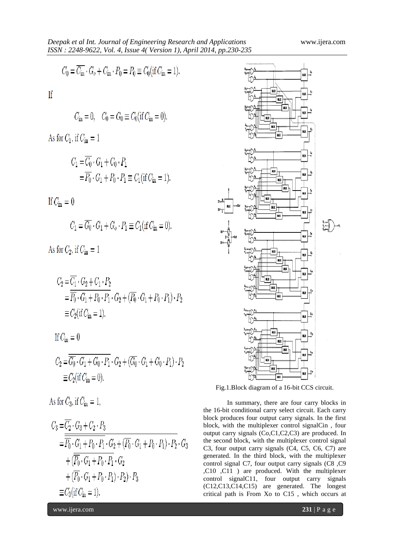$$
C_0 = \overline{C_{\text{in}}} \cdot G_o + C_{\text{in}} \cdot P_0 = P_0 \equiv C_0(\text{if } C_{\text{in}} = 1).
$$

If

$$
C_{\text{in}} = 0
$$
,  $C_0 = G_0 \equiv C_0 (\text{if } C_{\text{in}} = 0)$ .

As for  $C_1$ , if  $C_{\text{in}} = 1$ 

$$
C_1 = \overline{C_0} \cdot G_1 + C_0 \cdot P_1
$$
  
=  $\overline{P_0} \cdot G_1 + P_0 \cdot P_1 \equiv C_1 (\text{if } C_{\text{in}} = 1).$ 

If  $C_{\rm in}=0$ 

$$
C_1 = \overline{G_0} \cdot G_1 + G_o \cdot P_1 \equiv C_1(\text{if } C_{\text{in}} = 0).
$$

As for  $C_2$ , if  $C_{\text{in}} = 1$ 

$$
C_2 = \overline{C_1} \cdot G_2 + C_1 \cdot P_2
$$
  
=  $\overline{P_0} \cdot G_1 + P_0 \cdot P_1 \cdot G_2 + (\overline{P_0} \cdot G_1 + P_0 \cdot P_1) \cdot P_2$   
 $\equiv C_2$  (if  $C_{\text{in}} = 1$ ).

If 
$$
C_{\text{in}} = 0
$$

$$
C_2 = \overline{G_0} \cdot G_1 + G_0 \cdot P_1 \cdot G_2 + (\overline{G_0} \cdot G_1 + G_0 \cdot P_1) \cdot P_2
$$
  

$$
\equiv C_2(\text{if } C_{\text{in}} = 0).
$$

As for  $C_3$ , if  $C_{\rm in} = 1$ ,

$$
C_3 = \overline{C_2} \cdot G_3 + C_2 \cdot P_3
$$
  
=  $\overline{P_0} \cdot G_1 + P_0 \cdot P_1 \cdot G_2 + (\overline{P_0} \cdot G_1 + P_0 \cdot P_1) \cdot P_2 \cdot G_3$   
+  $( \overline{P_0} \cdot G_1 + P_0 \cdot P_1 \cdot G_2$   
+  $( \overline{P_0} \cdot G_1 + P_0 \cdot P_1) \cdot P_2 ) \cdot P_3$   
 $\equiv C_3$  (if  $C_{\text{in}} = 1$ ).



Fig.1.Block diagram of a 16-bit CCS circuit.

In summary, there are four carry blocks in the 16-bit conditional carry select circuit. Each carry block produces four output carry signals. In the first block, with the multiplexer control signalCin , four output carry signals (Co,C1,C2,C3) are produced. In the second block, with the multiplexer control signal C3, four output carry signals (C4, C5, C6, C7) are generated. In the third block, with the multiplexer control signal C7, four output carry signals (C8 ,C9 ,C10 ,C11 ) are produced. With the multiplexer control signalC11, four output carry signals (C12,C13,C14,C15) are generated. The longest critical path is From Xo to C15 , which occurs at

www.ijera.com **231** | P a g e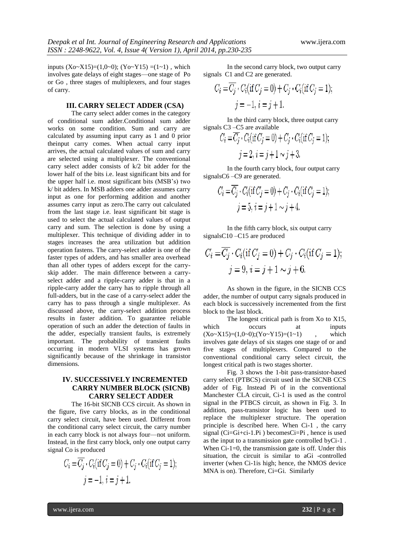inputs  $(Xo-X15)=(1,0-0)$ ;  $(Yo-Y15)=(1-1)$ , which involves gate delays of eight stages—one stage of Po or Go , three stages of multiplexers, and four stages of carry.

## **III. CARRY SELECT ADDER (CSA)**

The carry select adder comes in the category of conditional sum adder.Conditional sum adder works on some condition. Sum and carry are calculated by assuming input carry as 1 and 0 prior theinput carry comes. When actual carry input arrives, the actual calculated values of sum and carry are selected using a multiplexer. The conventional carry select adder consists of k/2 bit adder for the lower half of the bits i.e. least significant bits and for the upper half i.e. most significant bits (MSB's) two k/ bit adders. In MSB adders one adder assumes carry input as one for performing addition and another assumes carry input as zero.The carry out calculated from the last stage i.e. least significant bit stage is used to select the actual calculated values of output carry and sum. The selection is done by using a multiplexer. This technique of dividing adder in to stages increases the area utilization but addition operation fastens. The carry-select adder is one of the faster types of adders, and has smaller area overhead than all other types of adders except for the carryskip adder. The main difference between a carryselect adder and a ripple-carry adder is that in a ripple-carry adder the carry has to ripple through all full-adders, but in the case of a carry-select adder the carry has to pass through a single multiplexer. As discussed above, the carry-select addition process results in faster addition. To guarantee reliable operation of such an adder the detection of faults in the adder, especially transient faults, is extremely important. The probability of transient faults occurring in modern VLSI systems has grown significantly because of the shrinkage in transistor dimensions.

## **IV. SUCCESSIVELY INCREMENTED CARRY NUMBER BLOCK (SICNB) CARRY SELECT ADDER**

The 16-bit SICNB CCS circuit. As shown in the figure, five carry blocks, as in the conditional carry select circuit, have been used. Different from the conditional carry select circuit, the carry number in each carry block is not always four—not uniform. Instead, in the first carry block, only one output carry signal Co is produced

$$
C_i = \overline{C_j} \cdot C_i(\text{if } C_j = 0) + C_j \cdot C_i(\text{if } C_j = 1);
$$
  

$$
j = -1, i = j + 1.
$$

In the second carry block, two output carry signals C1 and C2 are generated.

$$
C_i = \overline{C_j} \cdot C_i(\text{if } C_j = 0) + C_j \cdot C_i(\text{if } C_j = 1);
$$
  

$$
j = -1, i = j + 1.
$$

In the third carry block, three output carry signals C3 –C5 are available

$$
C_i = \overline{C_j} \cdot C_i(\text{if } C_j = 0) + C_j \cdot C_i(\text{if } C_j = 1);
$$
  

$$
j = 2, i = j + 1 \sim j + 3.
$$

In the fourth carry block, four output carry signalsC6 –C9 are generated.

$$
C_i = \overline{C_j} \cdot C_i(\text{if } C_j = 0) + C_j \cdot C_i(\text{if } C_j = 1);
$$
  

$$
j = 5, i = j + 1 \sim j + 4.
$$

In the fifth carry block, six output carry signalsC10 –C15 are produced

$$
C_i = \overline{C_j} \cdot C_i(\text{if } C_j = 0) + C_j \cdot C_i(\text{if } C_j = 1);
$$
  

$$
j = 9, i = j + 1 \sim j + 6.
$$

As shown in the figure, in the SICNB CCS adder, the number of output carry signals produced in each block is successively incremented from the first block to the last block.

The longest critical path is from Xo to X15, which occurs at inputs  $(Xo~X15)=(1,0~0); (Yo~Y15)=(1~1)$  , which involves gate delays of six stages one stage of or and five stages of multiplexers. Compared to the conventional conditional carry select circuit, the longest critical path is two stages shorter.

Fig. 3 shows the 1-bit pass-transistor-based carry select (PTBCS) circuit used in the SICNB CCS adder of Fig. Instead Pi of in the conventional Manchester CLA circuit, Ci-1 is used as the control signal in the PTBCS circuit, as shown in Fig. 3. In addition, pass-transistor logic has been used to replace the multiplexer structure. The operation principle is described here. When Ci-1 , the carry signal (Ci=Gi+ci-1.Pi ) becomesCi=Pi , hence is used as the input to a transmission gate controlled byCi-1 . When  $Ci-1=0$ , the transmission gate is off. Under this situation, the circuit is similar to aGi -controlled inverter (when Ci-1is high; hence, the NMOS device MNA is on). Therefore, Ci=Gi. Similarly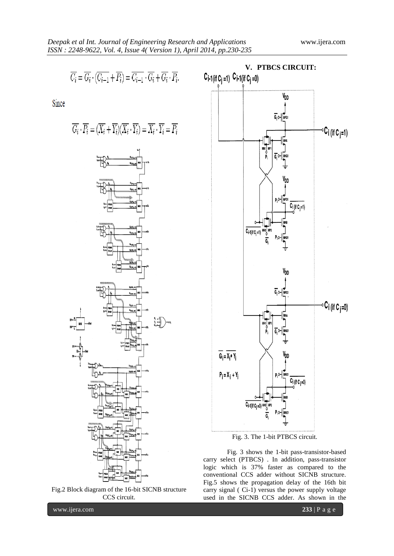$$
\overline{C_i} = \overline{G_i} \cdot (\overline{C_{i-1}} + \overline{P_i}) = \overline{C_{i-1}} \cdot \overline{G_i} + \overline{G_i} \cdot \overline{P_i}.
$$

Since

$$
\overline{G_i}\cdot\overline{P_i}=(\overline{X_i}+\overline{Y_i})(\overline{X_i}\cdot\overline{Y_i})=\overline{X_i}\cdot\overline{Y_i}=\overline{P_i}
$$







Fig. 3. The 1-bit PTBCS circuit.

Fig. 3 shows the 1-bit pass-transistor-based carry select (PTBCS) . In addition, pass-transistor logic which is 37% faster as compared to the conventional CCS adder without SICNB structure. Fig.5 shows the propagation delay of the 16th bit carry signal ( Ci-1) versus the power supply voltage used in the SICNB CCS adder. As shown in the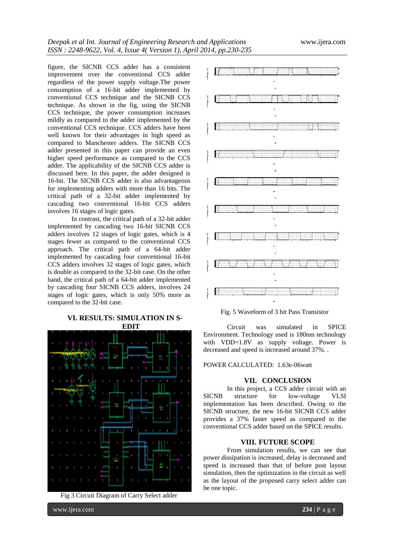figure, the SICNB CCS adder has a consistent improvement over the conventional CCS adder regardless of the power supply voltage.The power consumption of a 16-bit adder implemented by conventional CCS technique and the SICNB CCS technique. As shown in the fig, using the SICNB CCS technique, the power consumption increases mildly as compared to the adder implemented by the conventional CCS technique. CCS adders have been well known for their advantages in high speed as compared to Manchester adders. The SICNB CCS adder presented in this paper can provide an even higher speed performance as compared to the CCS adder. The applicability of the SICNB CCS adder is discussed here. In this paper, the adder designed is 16-bit. The SICNB CCS adder is also advantageous for implementing adders with more than 16 bits. The critical path of a 32-bit adder implemented by cascading two conventional 16-bit CCS adders involves 16 stages of logic gates.

In contrast, the critical path of a 32-bit adder implemented by cascading two 16-bit SICNB CCS adders involves 12 stages of logic gates, which is 4 stages fewer as compared to the conventional CCS approach. The critical path of a 64-bit adder implemented by cascading four conventional 16-bit CCS adders involves 32 stages of logic gates, which is double as compared to the 32-bit case. On the other hand, the critical path of a 64-bit adder implemented by cascading four SICNB CCS adders, involves 24 stages of logic gates, which is only 50% more as compared to the 32-bit case.

## **VI. RESULTS: SIMULATION IN S-**



Fig 3 Circuit Diagram of Carry Select adder



Fig. 5 Waveform of 3 bit Pass Transistor

Circuit was simulated in SPICE Environment. Technology used is 180nm technology with VDD=1.8V as supply voltage. Power is decreased and speed is increased around 37%. .

#### POWER CALCULATED: 1.63e-06watt

#### **VII. CONCLUSION**

In this project, a CCS adder circuit with an SICNB structure for low-voltage VLSI implementation has been described. Owing to the SICNB structure, the new 16-bit SICNB CCS adder provides a 37% faster speed as compared to the conventional CCS adder based on the SPICE results.

#### **VIII. FUTURE SCOPE**

From simulation results, we can see that power dissipation is increased, delay is decreased and speed is increased than that of before post layout simulation, then the optimization in the circuit as well as the layout of the proposed carry select adder can be one topic.